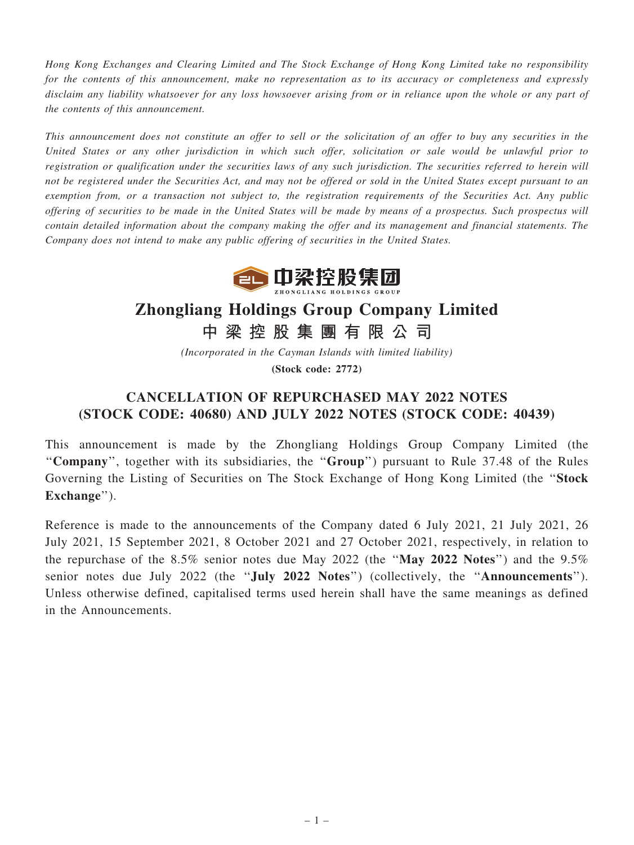Hong Kong Exchanges and Clearing Limited and The Stock Exchange of Hong Kong Limited take no responsibility for the contents of this announcement, make no representation as to its accuracy or completeness and expressly disclaim any liability whatsoever for any loss howsoever arising from or in reliance upon the whole or any part of the contents of this announcement.

This announcement does not constitute an offer to sell or the solicitation of an offer to buy any securities in the United States or any other jurisdiction in which such offer, solicitation or sale would be unlawful prior to registration or qualification under the securities laws of any such jurisdiction. The securities referred to herein will not be registered under the Securities Act, and may not be offered or sold in the United States except pursuant to an exemption from, or a transaction not subject to, the registration requirements of the Securities Act. Any public offering of securities to be made in the United States will be made by means of a prospectus. Such prospectus will contain detailed information about the company making the offer and its management and financial statements. The Company does not intend to make any public offering of securities in the United States.



## Zhongliang Holdings Group Company Limited

中 梁 控 股 集 團 有 限 公 司

(Incorporated in the Cayman Islands with limited liability) (Stock code: 2772)

## CANCELLATION OF REPURCHASED MAY 2022 NOTES (STOCK CODE: 40680) AND JULY 2022 NOTES (STOCK CODE: 40439)

This announcement is made by the Zhongliang Holdings Group Company Limited (the ''Company'', together with its subsidiaries, the ''Group'') pursuant to Rule 37.48 of the Rules Governing the Listing of Securities on The Stock Exchange of Hong Kong Limited (the ''Stock Exchange").

Reference is made to the announcements of the Company dated 6 July 2021, 21 July 2021, 26 July 2021, 15 September 2021, 8 October 2021 and 27 October 2021, respectively, in relation to the repurchase of the  $8.5\%$  senior notes due May 2022 (the "May 2022 Notes") and the  $9.5\%$ senior notes due July 2022 (the "**July 2022 Notes**") (collectively, the "Announcements"). Unless otherwise defined, capitalised terms used herein shall have the same meanings as defined in the Announcements.